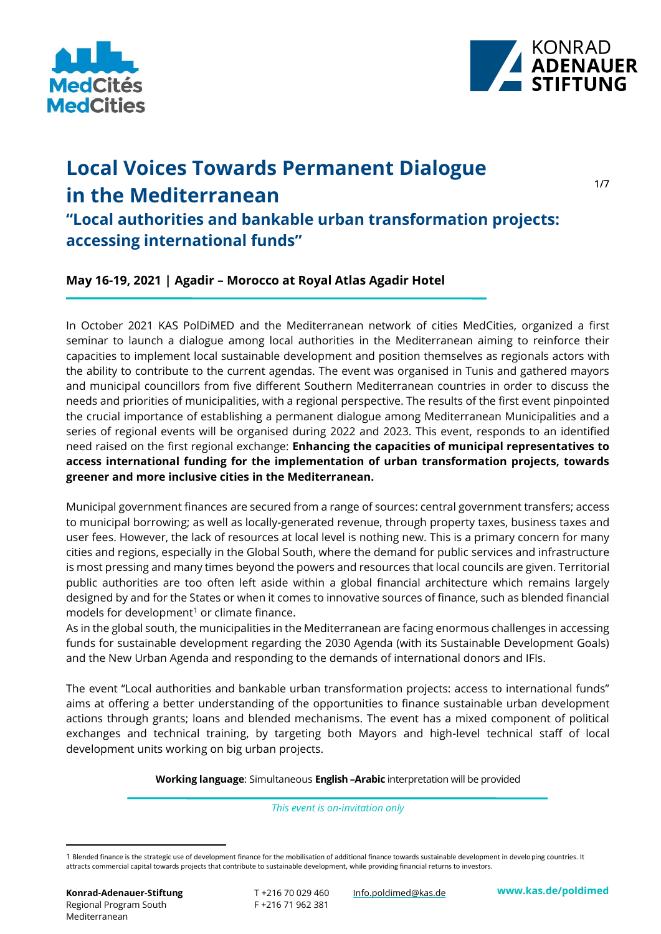



# **Local Voices Towards Permanent Dialogue in the Mediterranean**

1/7

**"Local authorities and bankable urban transformation projects: accessing international funds"**

**May 16-19, 2021 | Agadir – Morocco at Royal Atlas Agadir Hotel**

In October 2021 KAS PolDiMED and the Mediterranean network of cities MedCities, organized a first seminar to launch a dialogue among local authorities in the Mediterranean aiming to reinforce their capacities to implement local sustainable development and position themselves as regionals actors with the ability to contribute to the current agendas. The event was organised in Tunis and gathered mayors and municipal councillors from five different Southern Mediterranean countries in order to discuss the needs and priorities of municipalities, with a regional perspective. The results of the first event pinpointed the crucial importance of establishing a permanent dialogue among Mediterranean Municipalities and a series of regional events will be organised during 2022 and 2023. This event, responds to an identified need raised on the first regional exchange: **Enhancing the capacities of municipal representatives to access international funding for the implementation of urban transformation projects, towards greener and more inclusive cities in the Mediterranean.** 

Municipal government finances are secured from a range of sources: central government transfers; access to municipal borrowing; as well as locally-generated revenue, through property taxes, business taxes and user fees. However, the lack of resources at local level is nothing new. This is a primary concern for many cities and regions, especially in the Global South, where the demand for public services and infrastructure is most pressing and many times beyond the powers and resources that local councils are given. Territorial public authorities are too often left aside within a global financial architecture which remains largely designed by and for the States or when it comes to innovative sources of finance, such as blended financial models for development<sup>1</sup> or climate finance.

As in the global south, the municipalities in the Mediterranean are facing enormous challenges in accessing funds for sustainable development regarding the 2030 Agenda (with its Sustainable Development Goals) and the New Urban Agenda and responding to the demands of international donors and IFIs.

The event "Local authorities and bankable urban transformation projects: access to international funds" aims at offering a better understanding of the opportunities to finance sustainable urban development actions through grants; loans and blended mechanisms. The event has a mixed component of political exchanges and technical training, by targeting both Mayors and high-level technical staff of local development units working on big urban projects.

**Working language**: Simultaneous **English –Arabic** interpretation will be provided

*This event is on-invitation only*

<sup>1</sup> Blended finance is the strategic use of development finance for the mobilisation of additional finance towards sustainable development in developing countries. It attracts commercial capital towards projects that contribute to sustainable development, while providing financial returns to investors.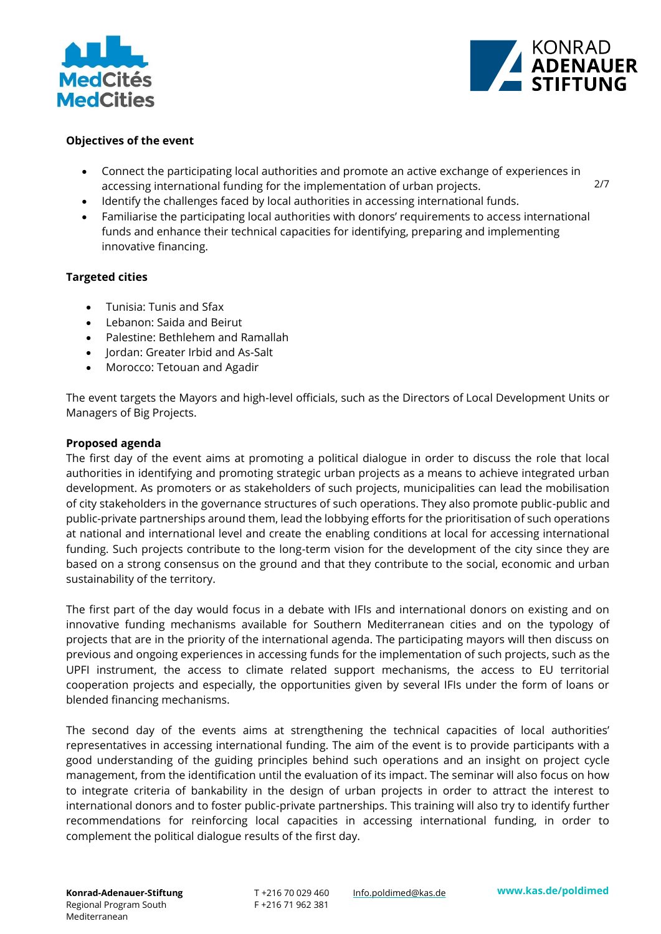



#### **Objectives of the event**

- Connect the participating local authorities and promote an active exchange of experiences in accessing international funding for the implementation of urban projects.
- Identify the challenges faced by local authorities in accessing international funds.
- Familiarise the participating local authorities with donors' requirements to access international funds and enhance their technical capacities for identifying, preparing and implementing innovative financing.

#### **Targeted cities**

- Tunisia: Tunis and Sfax
- Lebanon: Saida and Beirut
- Palestine: Bethlehem and Ramallah
- Jordan: Greater Irbid and As-Salt
- Morocco: Tetouan and Agadir

The event targets the Mayors and high-level officials, such as the Directors of Local Development Units or Managers of Big Projects.

#### **Proposed agenda**

The first day of the event aims at promoting a political dialogue in order to discuss the role that local authorities in identifying and promoting strategic urban projects as a means to achieve integrated urban development. As promoters or as stakeholders of such projects, municipalities can lead the mobilisation of city stakeholders in the governance structures of such operations. They also promote public-public and public-private partnerships around them, lead the lobbying efforts for the prioritisation of such operations at national and international level and create the enabling conditions at local for accessing international funding. Such projects contribute to the long-term vision for the development of the city since they are based on a strong consensus on the ground and that they contribute to the social, economic and urban sustainability of the territory.

The first part of the day would focus in a debate with IFIs and international donors on existing and on innovative funding mechanisms available for Southern Mediterranean cities and on the typology of projects that are in the priority of the international agenda. The participating mayors will then discuss on previous and ongoing experiences in accessing funds for the implementation of such projects, such as the UPFI instrument, the access to climate related support mechanisms, the access to EU territorial cooperation projects and especially, the opportunities given by several IFIs under the form of loans or blended financing mechanisms.

The second day of the events aims at strengthening the technical capacities of local authorities' representatives in accessing international funding. The aim of the event is to provide participants with a good understanding of the guiding principles behind such operations and an insight on project cycle management, from the identification until the evaluation of its impact. The seminar will also focus on how to integrate criteria of bankability in the design of urban projects in order to attract the interest to international donors and to foster public-private partnerships. This training will also try to identify further recommendations for reinforcing local capacities in accessing international funding, in order to complement the political dialogue results of the first day.

T +216 70 029 460 F +216 71 962 381

Info.poldimed@kas.de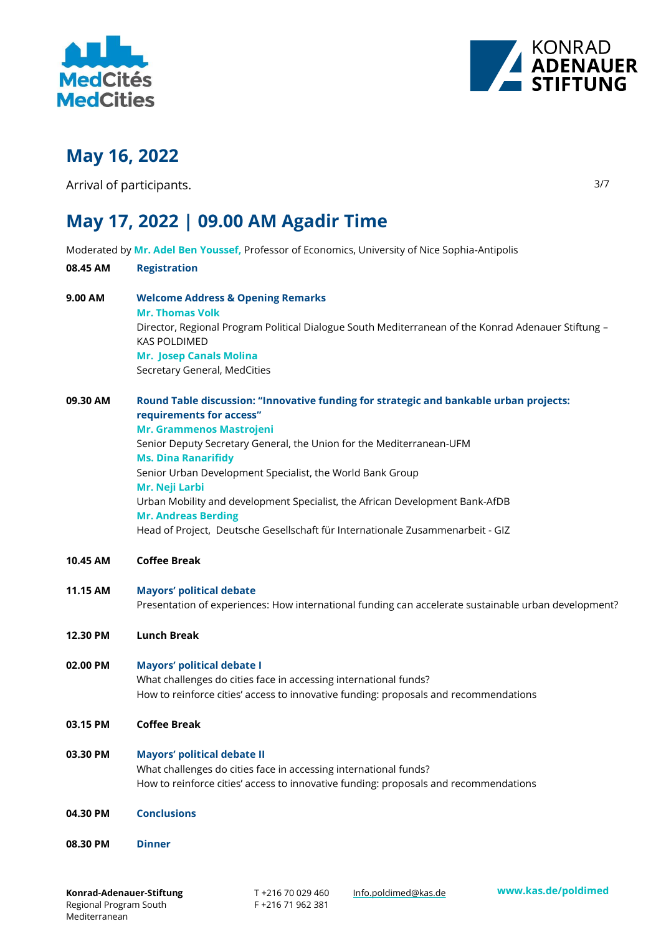



## **May 16, 2022**

Arrival of participants.

3/7

## **May 17, 2022 | 09.00 AM Agadir Time**

Moderated by **Mr. Adel Ben Youssef,** Professor of Economics, University of Nice Sophia-Antipolis

| 08.45 AM | <b>Registration</b>                                                                                                        |  |  |  |
|----------|----------------------------------------------------------------------------------------------------------------------------|--|--|--|
| 9.00 AM  | <b>Welcome Address &amp; Opening Remarks</b><br><b>Mr. Thomas Volk</b>                                                     |  |  |  |
|          | Director, Regional Program Political Dialogue South Mediterranean of the Konrad Adenauer Stiftung -<br><b>KAS POLDIMED</b> |  |  |  |
|          | <b>Mr. Josep Canals Molina</b>                                                                                             |  |  |  |
|          | Secretary General, MedCities                                                                                               |  |  |  |
| 09.30 AM | Round Table discussion: "Innovative funding for strategic and bankable urban projects:<br>requirements for access"         |  |  |  |
|          | <b>Mr. Grammenos Mastrojeni</b>                                                                                            |  |  |  |
|          | Senior Deputy Secretary General, the Union for the Mediterranean-UFM<br><b>Ms. Dina Ranarifidy</b>                         |  |  |  |
|          | Senior Urban Development Specialist, the World Bank Group                                                                  |  |  |  |
|          | Mr. Neji Larbi                                                                                                             |  |  |  |
|          | Urban Mobility and development Specialist, the African Development Bank-AfDB<br><b>Mr. Andreas Berding</b>                 |  |  |  |
|          | Head of Project, Deutsche Gesellschaft für Internationale Zusammenarbeit - GIZ                                             |  |  |  |
| 10.45 AM | <b>Coffee Break</b>                                                                                                        |  |  |  |
| 11.15 AM | <b>Mayors' political debate</b>                                                                                            |  |  |  |
|          | Presentation of experiences: How international funding can accelerate sustainable urban development?                       |  |  |  |
| 12.30 PM | <b>Lunch Break</b>                                                                                                         |  |  |  |
| 02.00 PM | <b>Mayors' political debate I</b>                                                                                          |  |  |  |
|          | What challenges do cities face in accessing international funds?                                                           |  |  |  |
|          | How to reinforce cities' access to innovative funding: proposals and recommendations                                       |  |  |  |
| 03.15 PM | <b>Coffee Break</b>                                                                                                        |  |  |  |
| 03.30 PM | Mayors' political debate II                                                                                                |  |  |  |
|          | What challenges do cities face in accessing international funds?                                                           |  |  |  |
|          | How to reinforce cities' access to innovative funding: proposals and recommendations                                       |  |  |  |
| 04.30 PM | <b>Conclusions</b>                                                                                                         |  |  |  |
| 08.30 PM | <b>Dinner</b>                                                                                                              |  |  |  |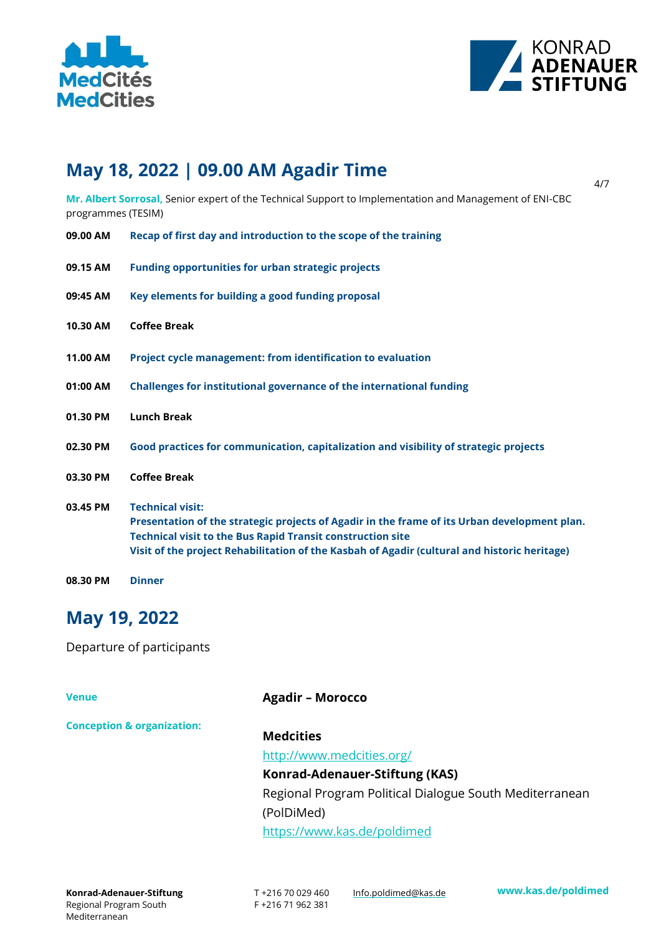



## **May 18, 2022 | 09.00 AM Agadir Time**

4/7

**Mr. Albert Sorrosal,** Senior expert of the Technical Support to Implementation and Management of ENI-CBC programmes (TESIM)

| 09.00 AM | Recap of first day and introduction to the scope of the training |  |
|----------|------------------------------------------------------------------|--|
|          |                                                                  |  |

- **09.15 AM Funding opportunities for urban strategic projects**
- **09:45 AM Key elements for building a good funding proposal**
- **10.30 AM Coffee Break**
- **11.00 AM Project cycle management: from identification to evaluation**
- **01:00 AM Challenges for institutional governance of the international funding**
- **01.30 PM Lunch Break**
- **02.30 PM Good practices for communication, capitalization and visibility of strategic projects**
- **03.30 PM Coffee Break**
- **03.45 PM Technical visit: Presentation of the strategic projects of Agadir in the frame of its Urban development plan. Technical visit to the Bus Rapid Transit construction site Visit of the project Rehabilitation of the Kasbah of Agadir (cultural and historic heritage)**
- **08.30 PM Dinner**

## **May 19, 2022**

Departure of participants

**Venue**

**Agadir – Morocco**

**Conception & organization:**

## **Medcities**

http://www.medcities.org/ **Konrad-Adenauer-Stiftung (KAS)** Regional Program Political Dialogue South Mediterranean (PolDiMed)

<https://www.kas.de/poldimed>

T +216 70 029 460 F +216 71 962 381 Info.poldimed@kas.de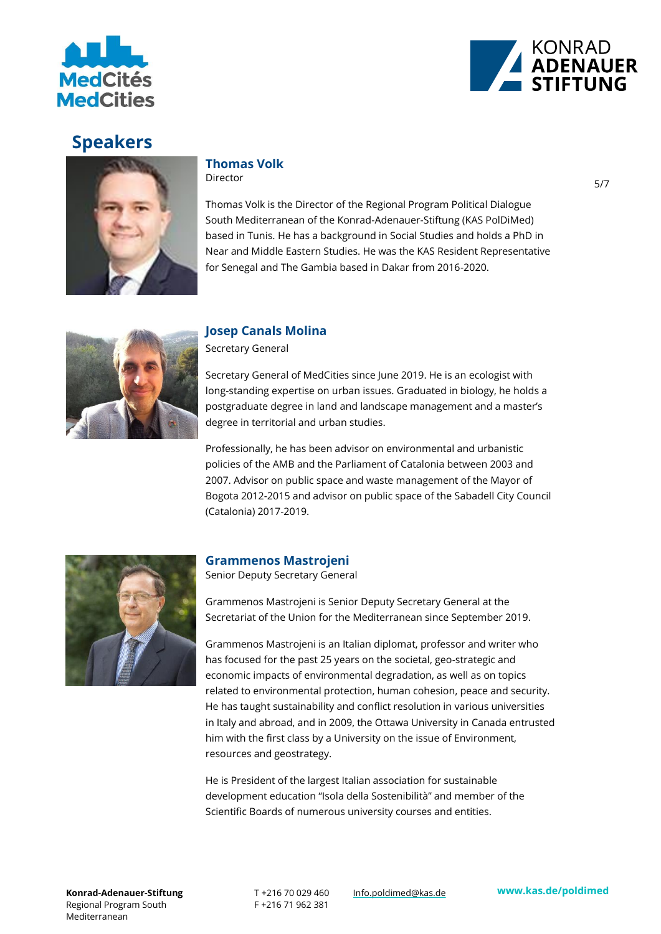



## **Speakers**



## **Thomas Volk**

Director

Thomas Volk is the Director of the Regional Program Political Dialogue South Mediterranean of the Konrad-Adenauer-Stiftung (KAS PolDiMed) based in Tunis. He has a background in Social Studies and holds a PhD in Near and Middle Eastern Studies. He was the KAS Resident Representative for Senegal and The Gambia based in Dakar from 2016-2020.



### **Josep Canals Molina**

Secretary General

Secretary General of MedCities since June 2019. He is an ecologist with long-standing expertise on urban issues. Graduated in biology, he holds a postgraduate degree in land and landscape management and a master's degree in territorial and urban studies.

Professionally, he has been advisor on environmental and urbanistic policies of the AMB and the Parliament of Catalonia between 2003 and 2007. Advisor on public space and waste management of the Mayor of Bogota 2012-2015 and advisor on public space of the Sabadell City Council (Catalonia) 2017-2019.



## **Grammenos Mastrojeni**

Senior Deputy Secretary General

Grammenos Mastrojeni is Senior Deputy Secretary General at the Secretariat of the Union for the Mediterranean since September 2019.

Grammenos Mastrojeni is an Italian diplomat, professor and writer who has focused for the past 25 years on the societal, geo-strategic and economic impacts of environmental degradation, as well as on topics related to environmental protection, human cohesion, peace and security. He has taught sustainability and conflict resolution in various universities in Italy and abroad, and in 2009, the Ottawa University in Canada entrusted him with the first class by a University on the issue of Environment, resources and geostrategy.

He is President of the largest Italian association for sustainable development education "Isola della Sostenibilità" and member of the Scientific Boards of numerous university courses and entities.

T +216 70 029 460 F +216 71 962 381

Info.poldimed@kas.de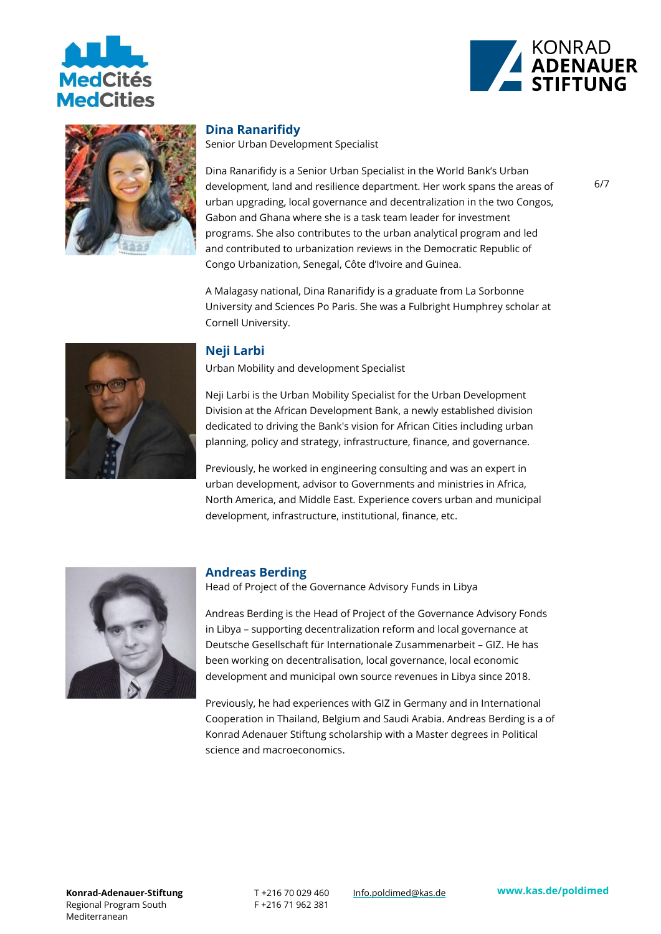





#### **Dina Ranarifidy**

Senior Urban Development Specialist

Dina Ranarifidy is a Senior Urban Specialist in the World Bank's Urban development, land and resilience department. Her work spans the areas of urban upgrading, local governance and decentralization in the two Congos, Gabon and Ghana where she is a task team leader for investment programs. She also contributes to the urban analytical program and led and contributed to urbanization reviews in the Democratic Republic of Congo Urbanization, Senegal, Côte d'Ivoire and Guinea.

A Malagasy national, Dina Ranarifidy is a graduate from La Sorbonne University and Sciences Po Paris. She was a Fulbright Humphrey scholar at Cornell University.



#### **Neji Larbi**

Urban Mobility and development Specialist

Neji Larbi is the Urban Mobility Specialist for the Urban Development Division at the African Development Bank, a newly established division dedicated to driving the Bank's vision for African Cities including urban planning, policy and strategy, infrastructure, finance, and governance.

Previously, he worked in engineering consulting and was an expert in urban development, advisor to Governments and ministries in Africa, North America, and Middle East. Experience covers urban and municipal development, infrastructure, institutional, finance, etc.



#### **Andreas Berding**

Head of Project of the Governance Advisory Funds in Libya

Andreas Berding is the Head of Project of the Governance Advisory Fonds in Libya – supporting decentralization reform and local governance at Deutsche Gesellschaft für Internationale Zusammenarbeit – GIZ. He has been working on decentralisation, local governance, local economic development and municipal own source revenues in Libya since 2018.

Previously, he had experiences with GIZ in Germany and in International Cooperation in Thailand, Belgium and Saudi Arabia. Andreas Berding is a of Konrad Adenauer Stiftung scholarship with a Master degrees in Political science and macroeconomics.

T +216 70 029 460 F +216 71 962 381 Info.poldimed@kas.de